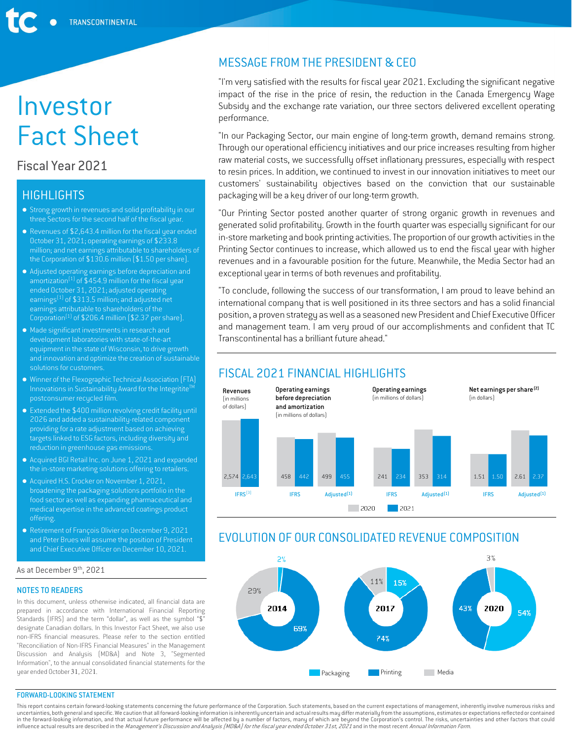# Investor Fact Sheet

# Fiscal Year 2021

### **HIGHLIGHTS**

- Strong growth in revenues and solid profitability in our three Sectors for the second half of the fiscal year.
- Revenues of \$2,643.4 million for the fiscal year ended October 31, 2021; operating earnings of \$233.8 million; and net earnings attributable to shareholders of the Corporation of \$130.6 million (\$1.50 per share).
- Adjusted operating earnings before depreciation and amortization<sup>(1)</sup> of \$454.9 million for the fiscal year ended October 31, 2021; adjusted operating earnings(1) of \$313.5 million; and adjusted net earnings attributable to shareholders of the Corporation<sup>(1)</sup> of \$206.4 million (\$2.37 per share).
- Made significant investments in research and development laboratories with state-of-the-art equipment in the state of Wisconsin, to drive growth and innovation and optimize the creation of sustainable solutions for customers.
- Winner of the Flexographic Technical Association (FTA) Innovations in Sustainability Award for the Integritite<sup>™</sup> postconsumer recycled film.
- Extended the \$400 million revolving credit facility until 2026 and added a sustainability-related component providing for a rate adjustment based on achieving  $\frac{1}{\pi}$  targets linked to ESG factors, including diversity and reduction in greenhouse gas emissions.
- Acquired BGI Retail Inc. on June 1, 2021 and expanded the in-store marketing solutions offering to retailers.
- Acquired H.S. Crocker on November 1, 2021, broadening the packaging solutions portfolio in the food sector as well as expanding pharmaceutical and medical expertise in the advanced coatings product offering.
- Retirement of François Olivier on December 9, 2021 and Peter Brues will assume the position of President and Chief Executive Officer on December 10, 2021.

#### As at December 9th, 2021

#### NOTES TO READERS

In this document, unless otherwise indicated, all financial data are prepared in accordance with International Financial Reporting Standards (IFRS) and the term "dollar", as well as the symbol "\$" designate Canadian dollars. In this Investor Fact Sheet, we also use non-IFRS financial measures. Please refer to the section entitled "Reconciliation of Non-IFRS Financial Measures" in the Management Discussion and Analysis (MD&A) and Note 3, "Segmented Information", to the annual consolidated financial statements for the year ended October 31, 2021.

### MESSAGE FROM THE PRESIDENT & CEO

"I'm very satisfied with the results for fiscal year 2021. Excluding the significant negative impact of the rise in the price of resin, the reduction in the Canada Emergency Wage Subsidy and the exchange rate variation, our three sectors delivered excellent operating performance.

"In our Packaging Sector, our main engine of long-term growth, demand remains strong. Through our operational efficiency initiatives and our price increases resulting from higher raw material costs, we successfully offset inflationary pressures, especially with respect to resin prices. In addition, we continued to invest in our innovation initiatives to meet our customers' sustainability objectives based on the conviction that our sustainable packaging will be a key driver of our long-term growth.

"Our Printing Sector posted another quarter of strong organic growth in revenues and generated solid profitability. Growth in the fourth quarter was especially significant for our in-store marketing and book printing activities. The proportion of our growth activities in the Printing Sector continues to increase, which allowed us to end the fiscal year with higher revenues and in a favourable position for the future. Meanwhile, the Media Sector had an exceptional year in terms of both revenues and profitability.

"To conclude, following the success of our transformation, I am proud to leave behind an international company that is well positioned in its three sectors and has a solid financial position, a proven strategy as well as a seasoned new President and Chief Executive Officer and management team. I am very proud of our accomplishments and confident that TC Transcontinental has a brilliant future ahead."



### EVOLUTION OF OUR CONSOLIDATED REVENUE COMPOSITION



#### FORWARD-LOOKING STATEMENT

This report contains certain forward-looking statements concerning the future performance of the Corporation. Such statements, based on the current expectations of management, inherently involve numerous risks and<br>uncertai in the forward-looking information, and that actual future performance will be affected by a number of factors, many of which are beyond the Corporation's control. The risks, uncertainties and other factors that could influence actual results are described in the Management's Discussion and Analysis (MD&A) for the fiscal year ended October 31st, 2021 and in the most recent Annual Information Form.

# FISCAL 2021 FINANCIAL HIGHLIGHTS